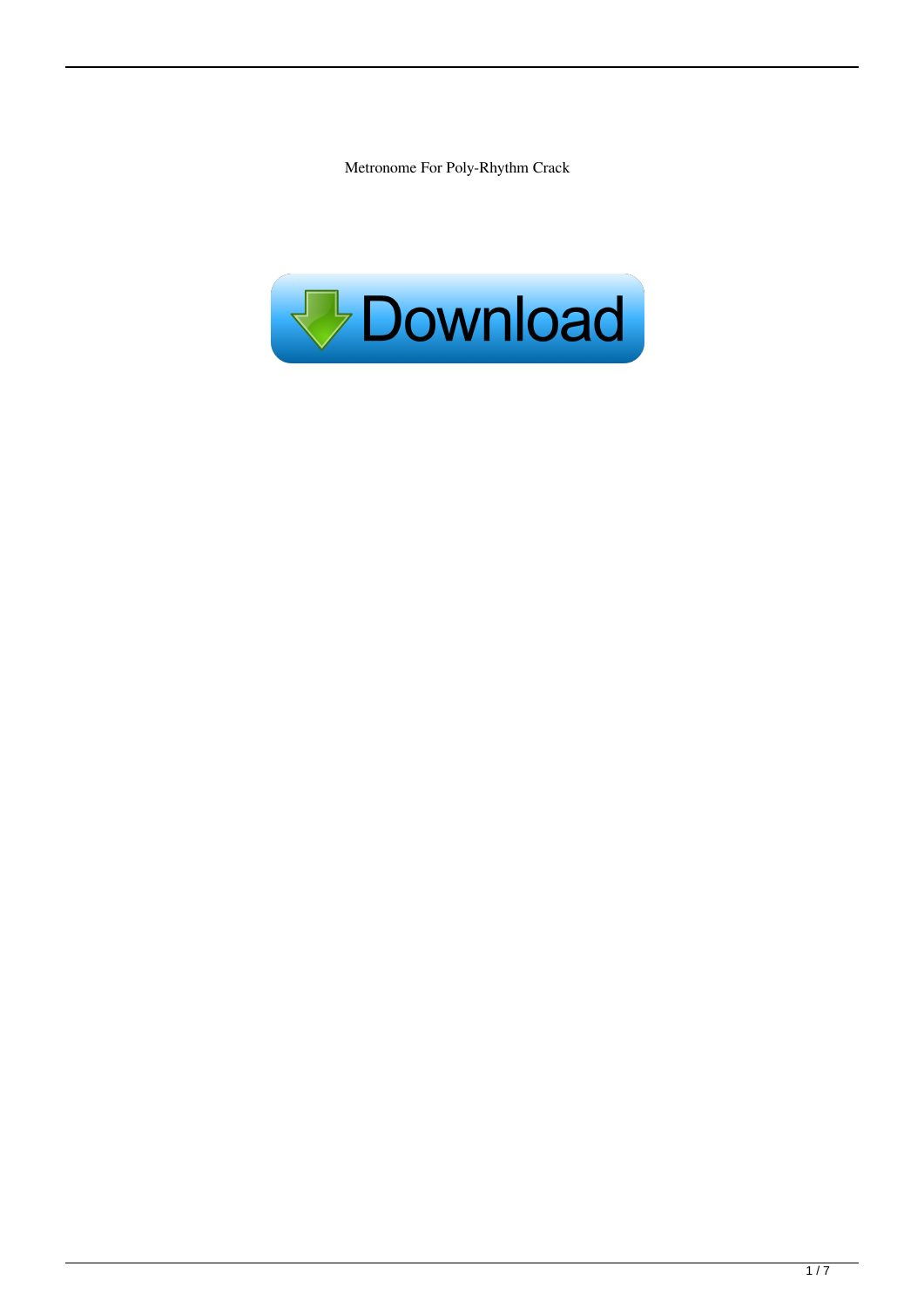Metronome For Poly-Rhythm Crack

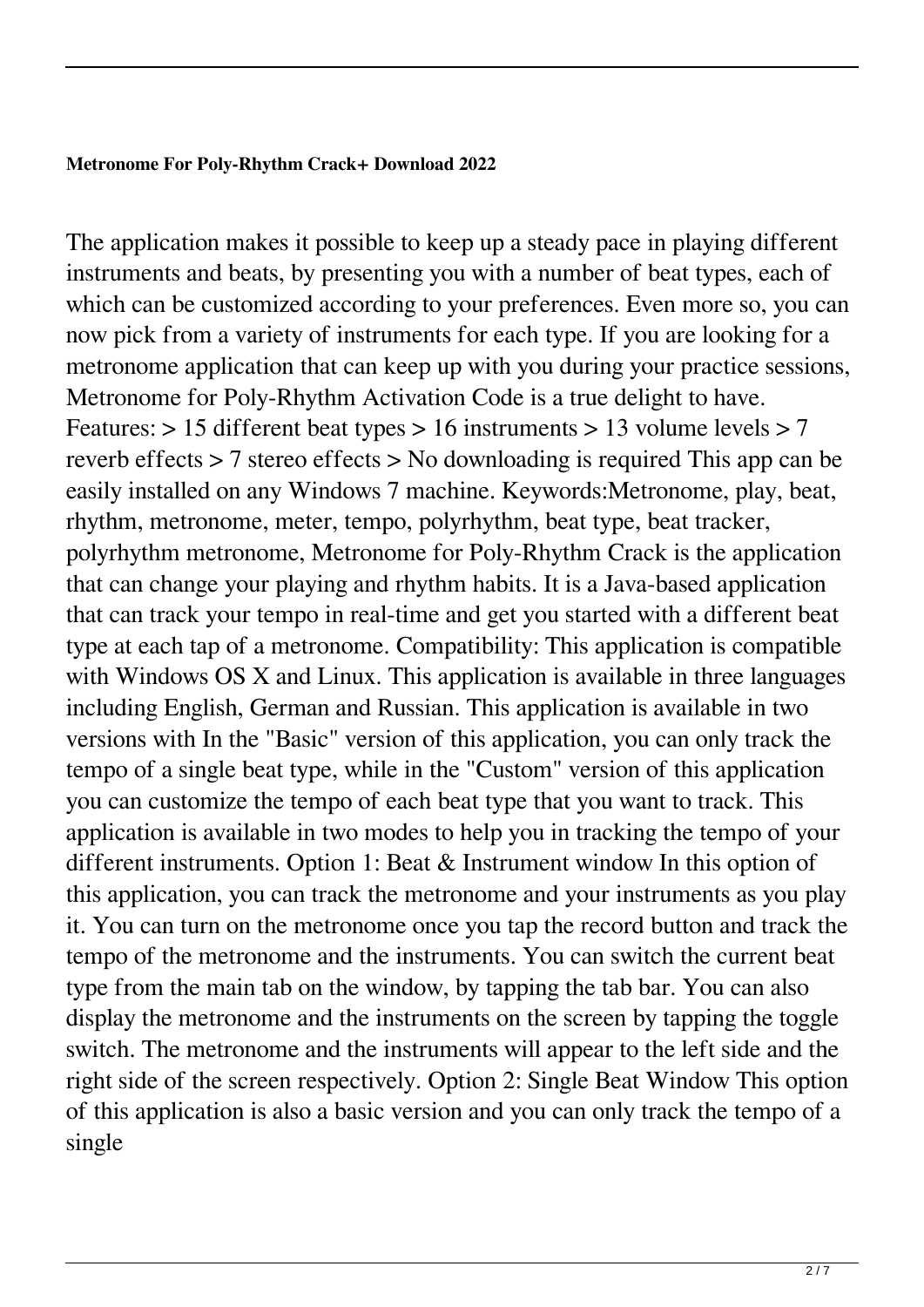# **Metronome For Poly-Rhythm Crack+ Download 2022**

The application makes it possible to keep up a steady pace in playing different instruments and beats, by presenting you with a number of beat types, each of which can be customized according to your preferences. Even more so, you can now pick from a variety of instruments for each type. If you are looking for a metronome application that can keep up with you during your practice sessions, Metronome for Poly-Rhythm Activation Code is a true delight to have. Features: > 15 different beat types > 16 instruments > 13 volume levels > 7 reverb effects > 7 stereo effects > No downloading is required This app can be easily installed on any Windows 7 machine. Keywords:Metronome, play, beat, rhythm, metronome, meter, tempo, polyrhythm, beat type, beat tracker, polyrhythm metronome, Metronome for Poly-Rhythm Crack is the application that can change your playing and rhythm habits. It is a Java-based application that can track your tempo in real-time and get you started with a different beat type at each tap of a metronome. Compatibility: This application is compatible with Windows OS X and Linux. This application is available in three languages including English, German and Russian. This application is available in two versions with In the "Basic" version of this application, you can only track the tempo of a single beat type, while in the "Custom" version of this application you can customize the tempo of each beat type that you want to track. This application is available in two modes to help you in tracking the tempo of your different instruments. Option 1: Beat & Instrument window In this option of this application, you can track the metronome and your instruments as you play it. You can turn on the metronome once you tap the record button and track the tempo of the metronome and the instruments. You can switch the current beat type from the main tab on the window, by tapping the tab bar. You can also display the metronome and the instruments on the screen by tapping the toggle switch. The metronome and the instruments will appear to the left side and the right side of the screen respectively. Option 2: Single Beat Window This option of this application is also a basic version and you can only track the tempo of a single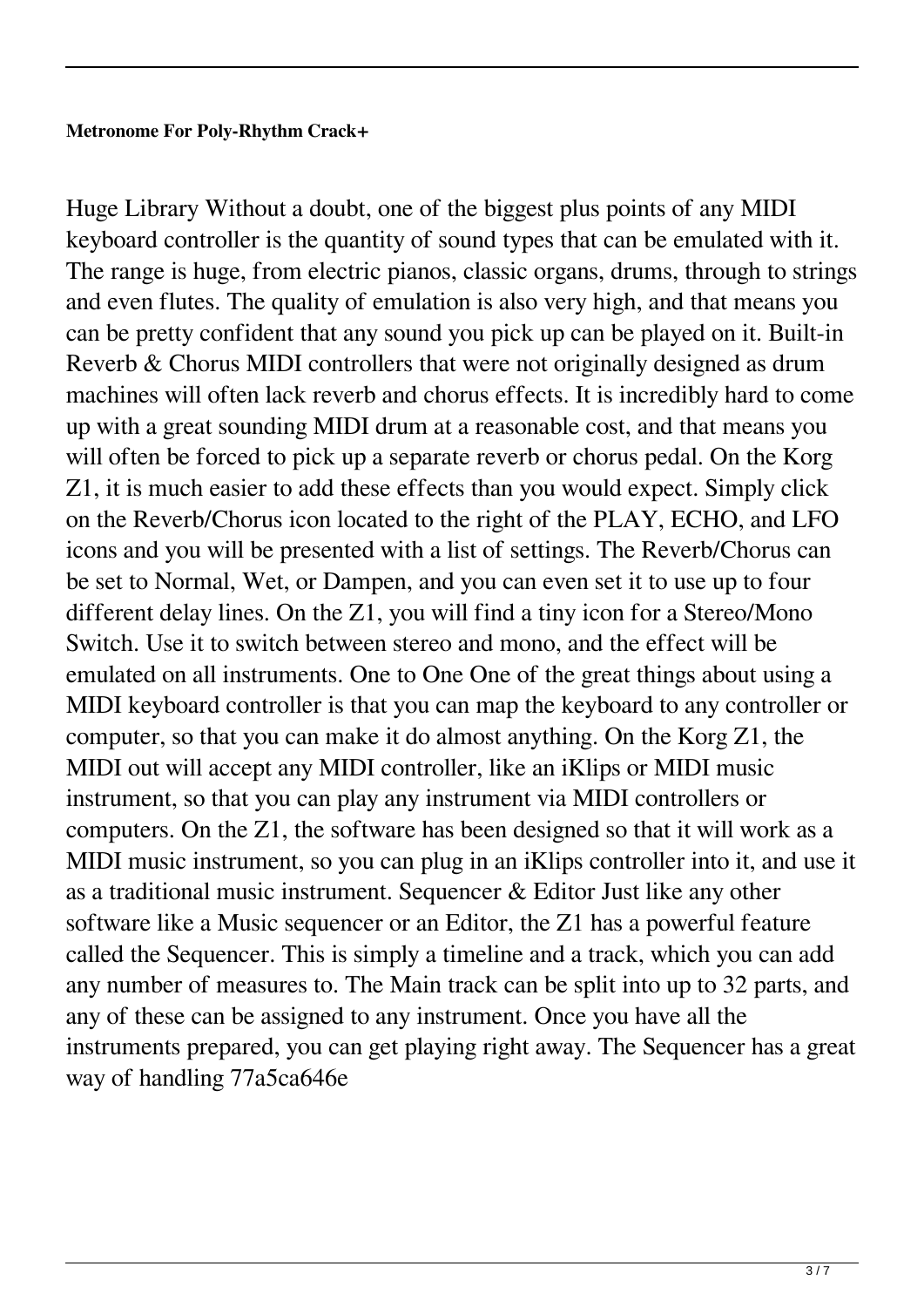# **Metronome For Poly-Rhythm Crack+**

Huge Library Without a doubt, one of the biggest plus points of any MIDI keyboard controller is the quantity of sound types that can be emulated with it. The range is huge, from electric pianos, classic organs, drums, through to strings and even flutes. The quality of emulation is also very high, and that means you can be pretty confident that any sound you pick up can be played on it. Built-in Reverb & Chorus MIDI controllers that were not originally designed as drum machines will often lack reverb and chorus effects. It is incredibly hard to come up with a great sounding MIDI drum at a reasonable cost, and that means you will often be forced to pick up a separate reverb or chorus pedal. On the Korg Z1, it is much easier to add these effects than you would expect. Simply click on the Reverb/Chorus icon located to the right of the PLAY, ECHO, and LFO icons and you will be presented with a list of settings. The Reverb/Chorus can be set to Normal, Wet, or Dampen, and you can even set it to use up to four different delay lines. On the Z1, you will find a tiny icon for a Stereo/Mono Switch. Use it to switch between stereo and mono, and the effect will be emulated on all instruments. One to One One of the great things about using a MIDI keyboard controller is that you can map the keyboard to any controller or computer, so that you can make it do almost anything. On the Korg Z1, the MIDI out will accept any MIDI controller, like an iKlips or MIDI music instrument, so that you can play any instrument via MIDI controllers or computers. On the Z1, the software has been designed so that it will work as a MIDI music instrument, so you can plug in an iKlips controller into it, and use it as a traditional music instrument. Sequencer & Editor Just like any other software like a Music sequencer or an Editor, the Z1 has a powerful feature called the Sequencer. This is simply a timeline and a track, which you can add any number of measures to. The Main track can be split into up to 32 parts, and any of these can be assigned to any instrument. Once you have all the instruments prepared, you can get playing right away. The Sequencer has a great way of handling 77a5ca646e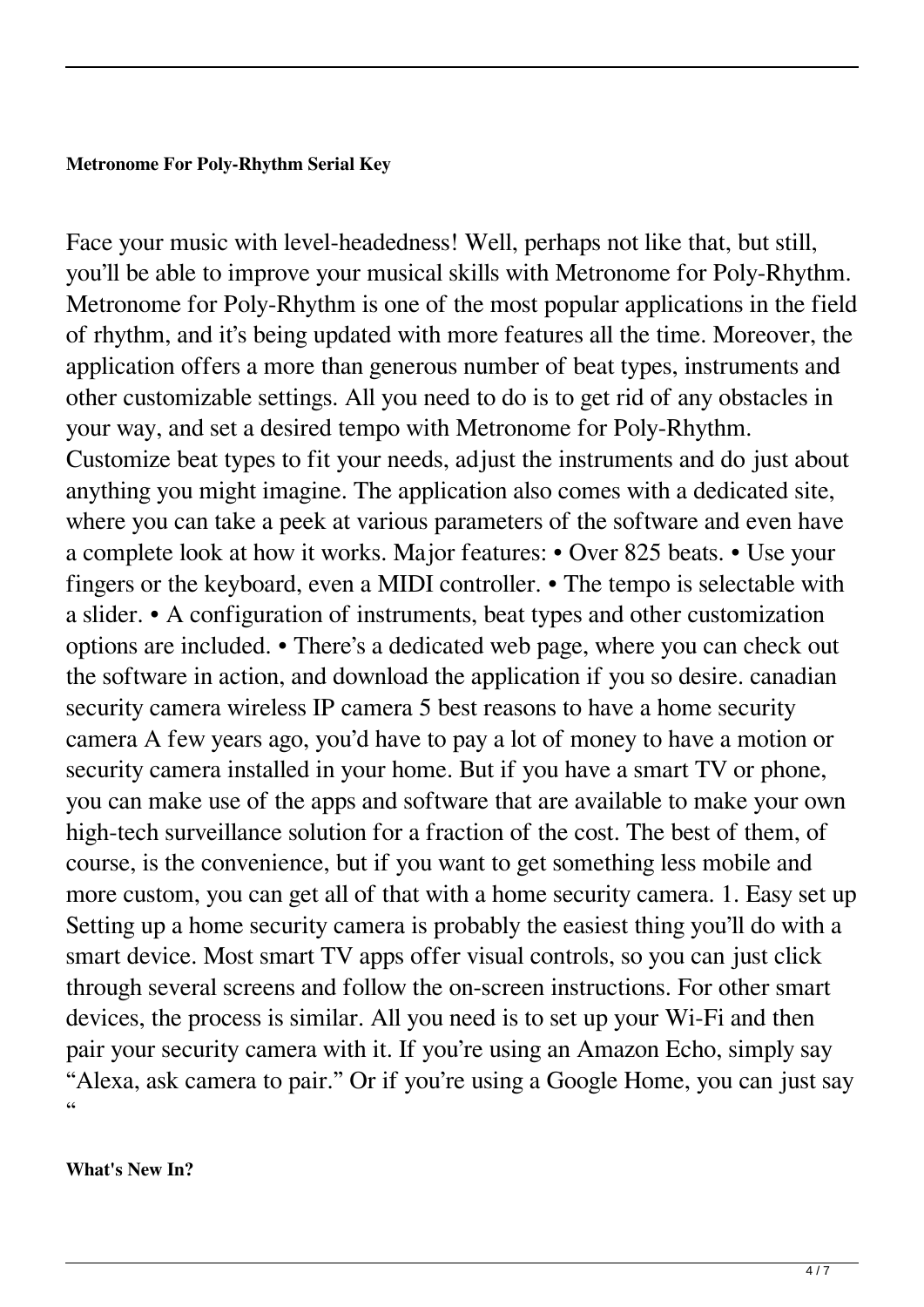# **Metronome For Poly-Rhythm Serial Key**

Face your music with level-headedness! Well, perhaps not like that, but still, you'll be able to improve your musical skills with Metronome for Poly-Rhythm. Metronome for Poly-Rhythm is one of the most popular applications in the field of rhythm, and it's being updated with more features all the time. Moreover, the application offers a more than generous number of beat types, instruments and other customizable settings. All you need to do is to get rid of any obstacles in your way, and set a desired tempo with Metronome for Poly-Rhythm. Customize beat types to fit your needs, adjust the instruments and do just about anything you might imagine. The application also comes with a dedicated site, where you can take a peek at various parameters of the software and even have a complete look at how it works. Major features: • Over 825 beats. • Use your fingers or the keyboard, even a MIDI controller. • The tempo is selectable with a slider. • A configuration of instruments, beat types and other customization options are included. • There's a dedicated web page, where you can check out the software in action, and download the application if you so desire. canadian security camera wireless IP camera 5 best reasons to have a home security camera A few years ago, you'd have to pay a lot of money to have a motion or security camera installed in your home. But if you have a smart TV or phone, you can make use of the apps and software that are available to make your own high-tech surveillance solution for a fraction of the cost. The best of them, of course, is the convenience, but if you want to get something less mobile and more custom, you can get all of that with a home security camera. 1. Easy set up Setting up a home security camera is probably the easiest thing you'll do with a smart device. Most smart TV apps offer visual controls, so you can just click through several screens and follow the on-screen instructions. For other smart devices, the process is similar. All you need is to set up your Wi-Fi and then pair your security camera with it. If you're using an Amazon Echo, simply say "Alexa, ask camera to pair." Or if you're using a Google Home, you can just say "

#### **What's New In?**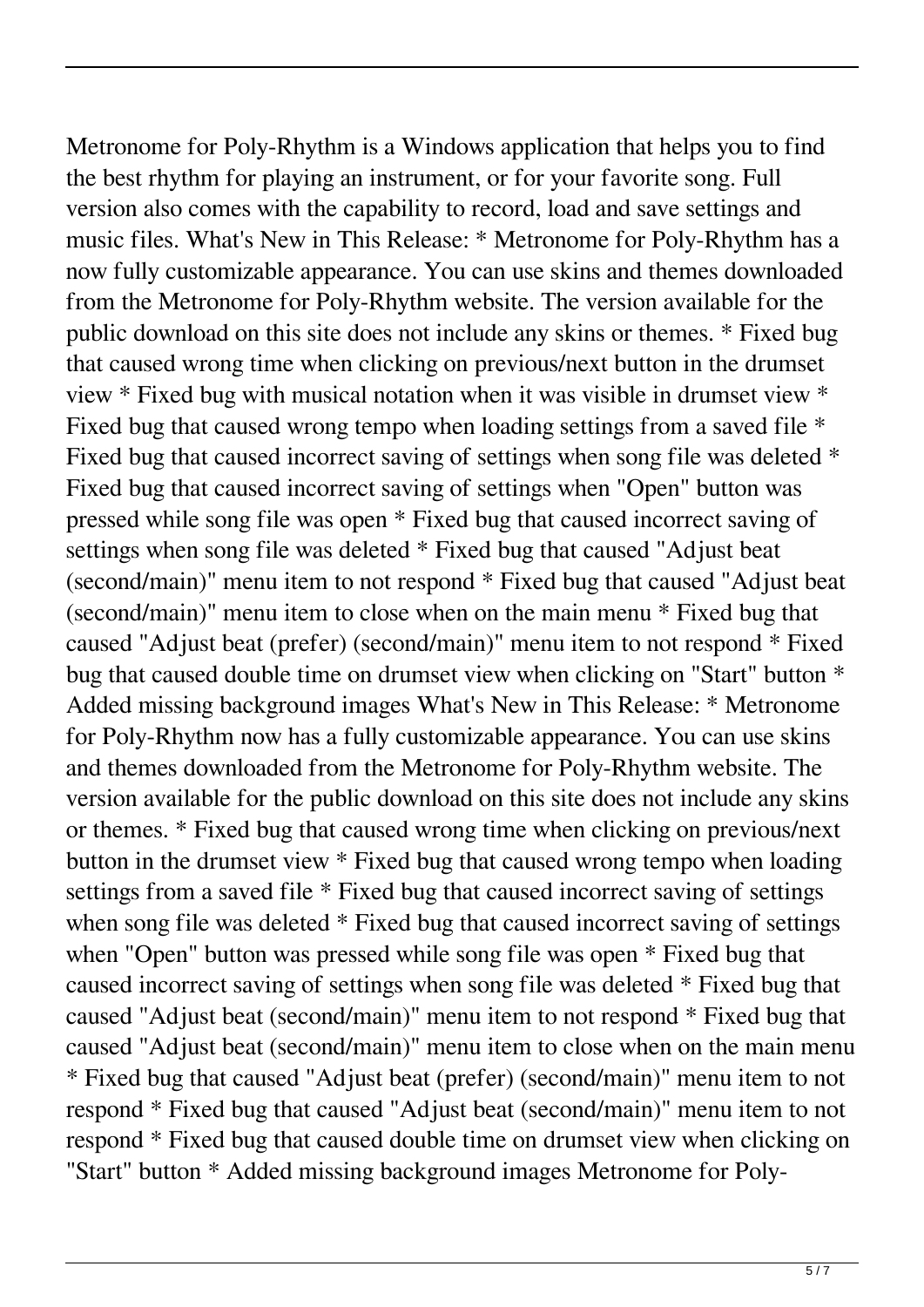Metronome for Poly-Rhythm is a Windows application that helps you to find the best rhythm for playing an instrument, or for your favorite song. Full version also comes with the capability to record, load and save settings and music files. What's New in This Release: \* Metronome for Poly-Rhythm has a now fully customizable appearance. You can use skins and themes downloaded from the Metronome for Poly-Rhythm website. The version available for the public download on this site does not include any skins or themes. \* Fixed bug that caused wrong time when clicking on previous/next button in the drumset view \* Fixed bug with musical notation when it was visible in drumset view \* Fixed bug that caused wrong tempo when loading settings from a saved file \* Fixed bug that caused incorrect saving of settings when song file was deleted \* Fixed bug that caused incorrect saving of settings when "Open" button was pressed while song file was open \* Fixed bug that caused incorrect saving of settings when song file was deleted \* Fixed bug that caused "Adjust beat (second/main)" menu item to not respond \* Fixed bug that caused "Adjust beat (second/main)" menu item to close when on the main menu \* Fixed bug that caused "Adjust beat (prefer) (second/main)" menu item to not respond \* Fixed bug that caused double time on drumset view when clicking on "Start" button \* Added missing background images What's New in This Release: \* Metronome for Poly-Rhythm now has a fully customizable appearance. You can use skins and themes downloaded from the Metronome for Poly-Rhythm website. The version available for the public download on this site does not include any skins or themes. \* Fixed bug that caused wrong time when clicking on previous/next button in the drumset view \* Fixed bug that caused wrong tempo when loading settings from a saved file \* Fixed bug that caused incorrect saving of settings when song file was deleted  $*$  Fixed bug that caused incorrect saving of settings when "Open" button was pressed while song file was open \* Fixed bug that caused incorrect saving of settings when song file was deleted \* Fixed bug that caused "Adjust beat (second/main)" menu item to not respond \* Fixed bug that caused "Adjust beat (second/main)" menu item to close when on the main menu \* Fixed bug that caused "Adjust beat (prefer) (second/main)" menu item to not respond \* Fixed bug that caused "Adjust beat (second/main)" menu item to not respond \* Fixed bug that caused double time on drumset view when clicking on "Start" button \* Added missing background images Metronome for Poly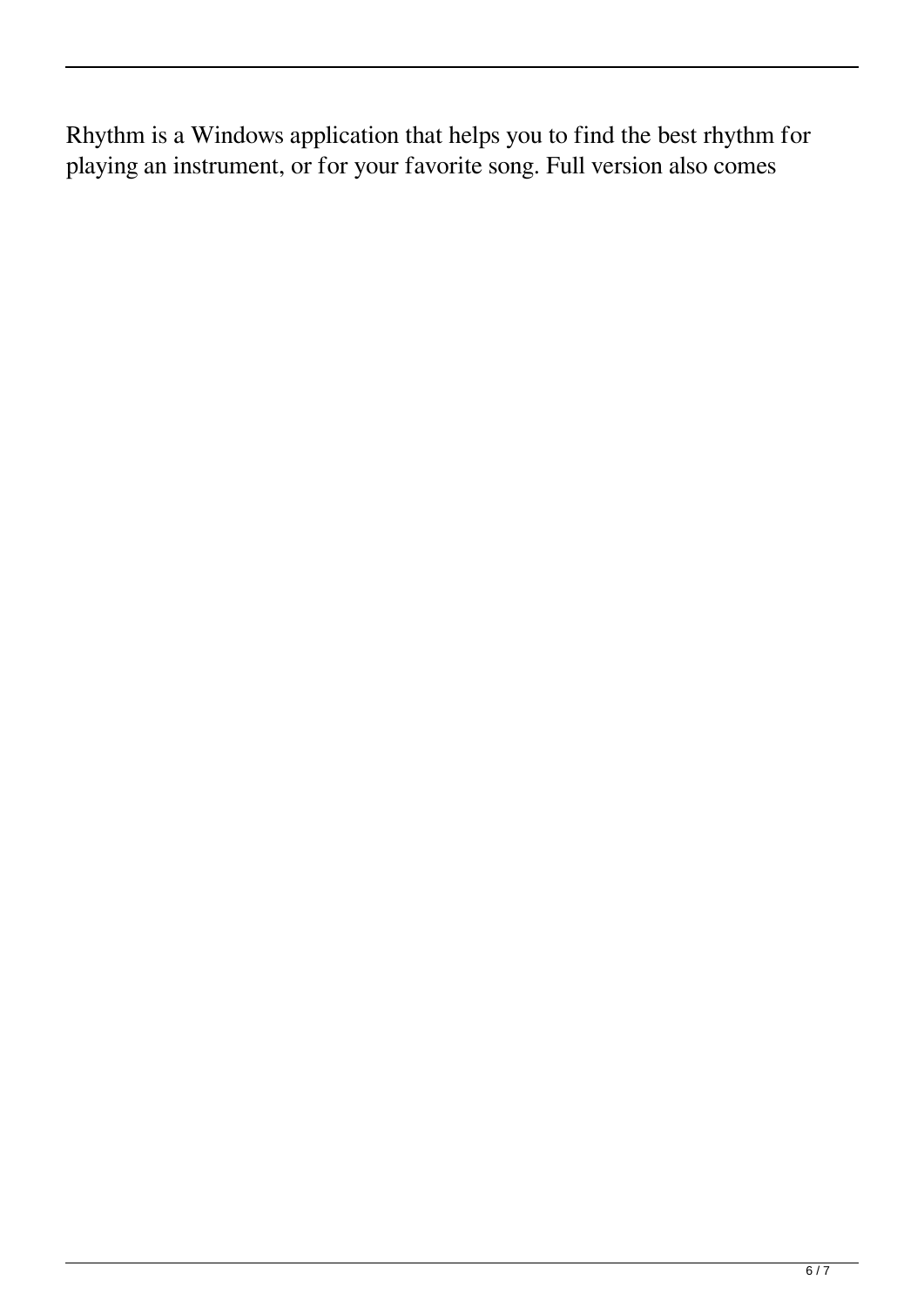Rhythm is a Windows application that helps you to find the best rhythm for playing an instrument, or for your favorite song. Full version also comes